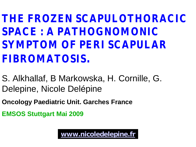**THE FROZEN SCAPULOTHORACIC SPACE : A PATHOGNOMONIC SYMPTOM OF PERI SCAPULAR FIBROMATOSIS.**

S. Alkhallaf, B Markowska, H. Cornille, G. Delepine, Nicole Delépine

**Oncology Paediatric Unit. Garches France**

**EMSOS Stuttgart Mai 2009**

**[www.nicoledelepine.fr](http://www.nicoledelepine.fr/)**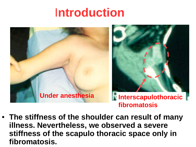# I**ntroduction**



• **The stiffness of the shoulder can result of many illness. Nevertheless, we observed a severe stiffness of the scapulo thoracic space only in fibromatosis.**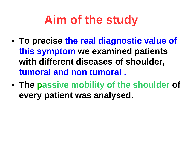# **Aim of the study**

- **To precise the real diagnostic value of this symptom we examined patients with different diseases of shoulder, tumoral and non tumoral .**
- **The passive mobility of the shoulder of every patient was analysed.**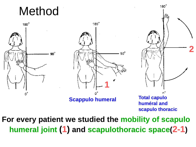





**huméral and scapulo thoracic**

 $180^\circ$ 

**2**

**For every patient we studied the mobility of scapulo humeral joint (1) and scapulothoracic space(2-1)**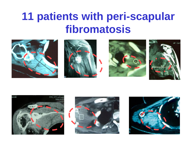## **11 patients with peri-scapular fibromatosis**













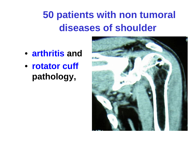### **50 patients with non tumoral diseases of shoulder**

- **arthritis and**
- **rotator cuff pathology,**

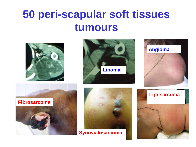### **50 peri-scapular soft tissues tumours**







# **Fibrosarcoma**



**Synovialosarcoma**

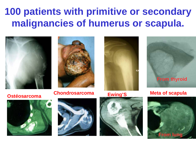### **100 patients with primitive or secondary malignancies of humerus or scapula.**





**Ostéosarcoma Chondrosarcoma Ewing'S Meta of scapula** 











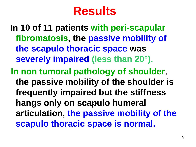# **Results**

**In 10 of 11 patients with peri-scapular fibromatosis, the passive mobility of the scapulo thoracic space was severely impaired (less than 20°). In non tumoral pathology of shoulder**, **the passive mobility of the shoulder is frequently impaired but the stiffness hangs only on scapulo humeral articulation, the passive mobility of the scapulo thoracic space is normal.**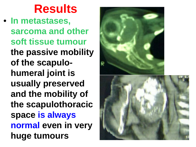# **Results**

• **In metastases, sarcoma and other soft tissue tumour the passive mobility of the scapulohumeral joint is usually preserved and the mobility of the scapulothoracic space is always normal even in very huge tumours**

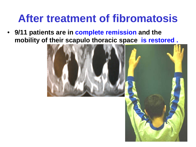### **After treatment of fibromatosis**

• **9/11 patients are in complete remission and the mobility of their scapulo thoracic space is restored .** 

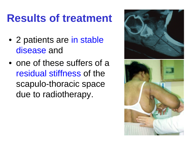## **Results of treatment**

- 2 patients are in stable disease and
- one of these suffers of a residual stiffness of the scapulo-thoracic space due to radiotherapy.